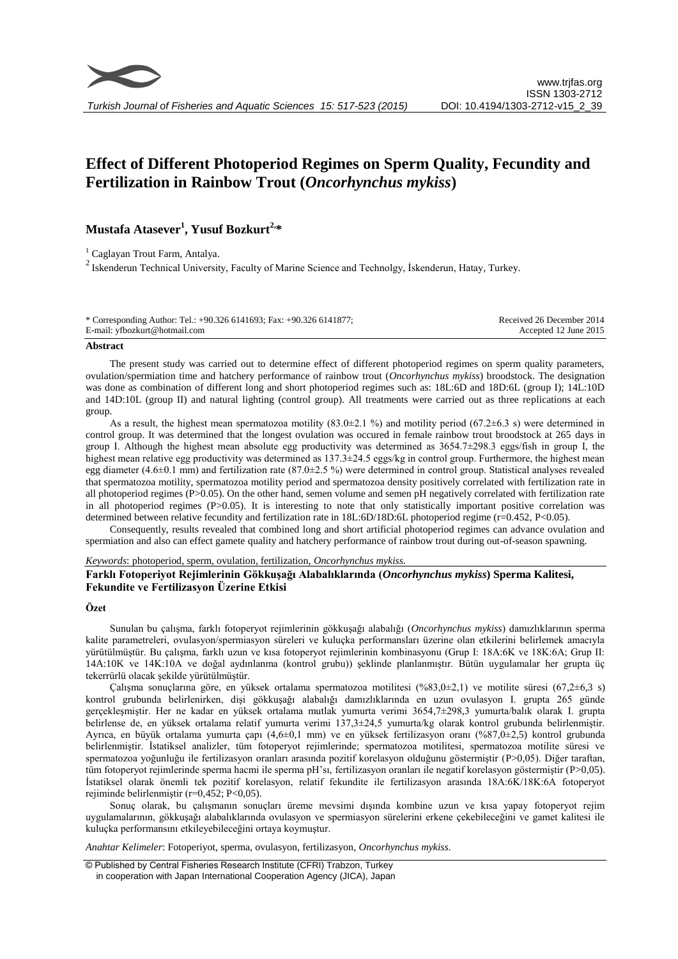# **Effect of Different Photoperiod Regimes on Sperm Quality, Fecundity and Fertilization in Rainbow Trout (***Oncorhynchus mykiss***)**

# **Mustafa Atasever<sup>1</sup> , Yusuf Bozkurt2, \***

<sup>1</sup> Caglayan Trout Farm, Antalya.  $2$  Iskenderun Technical University, Faculty of Marine Science and Technolgy, İskenderun, Hatay, Turkey.

| * Corresponding Author: Tel.: +90.326 6141693; Fax: +90.326 6141877; | Received 26 December 2014 |
|----------------------------------------------------------------------|---------------------------|
| E-mail: yfbozkurt@hotmail.com                                        | Accepted 12 June 2015     |

#### **Abstract**

The present study was carried out to determine effect of different photoperiod regimes on sperm quality parameters, ovulation/spermiation time and hatchery performance of rainbow trout (*Oncorhynchus mykiss*) broodstock. The designation was done as combination of different long and short photoperiod regimes such as: 18L:6D and 18D:6L (group I); 14L:10D and 14D:10L (group II) and natural lighting (control group). All treatments were carried out as three replications at each group.

As a result, the highest mean spermatozoa motility (83.0±2.1 %) and motility period (67.2±6.3 s) were determined in control group. It was determined that the longest ovulation was occured in female rainbow trout broodstock at 265 days in group I. Although the highest mean absolute egg productivity was determined as  $3654.7\pm298.3$  eggs/fish in group I, the highest mean relative egg productivity was determined as  $137.3\pm24.5$  eggs/kg in control group. Furthermore, the highest mean egg diameter (4.6 $\pm$ 0.1 mm) and fertilization rate (87.0 $\pm$ 2.5 %) were determined in control group. Statistical analyses revealed that spermatozoa motility, spermatozoa motility period and spermatozoa density positively correlated with fertilization rate in all photoperiod regimes  $(P>0.05)$ . On the other hand, semen volume and semen pH negatively correlated with fertilization rate in all photoperiod regimes (P>0.05). It is interesting to note that only statistically important positive correlation was determined between relative fecundity and fertilization rate in 18L:6D/18D:6L photoperiod regime (r=0.452, P<0.05).

Consequently, results revealed that combined long and short artificial photoperiod regimes can advance ovulation and spermiation and also can effect gamete quality and hatchery performance of rainbow trout during out-of-season spawning.

#### *Keywords*: photoperiod, sperm, ovulation, fertilization, *Oncorhynchus mykiss.*

# **Farklı Fotoperiyot Rejimlerinin Gökkuşağı Alabalıklarında (***Oncorhynchus mykiss***) Sperma Kalitesi, Fekundite ve Fertilizasyon Üzerine Etkisi**

#### **Özet**

Sunulan bu çalışma, farklı fotoperyot rejimlerinin gökkuşağı alabalığı (*Oncorhynchus mykiss*) damızlıklarının sperma kalite parametreleri, ovulasyon/spermiasyon süreleri ve kuluçka performansları üzerine olan etkilerini belirlemek amacıyla yürütülmüştür. Bu çalışma, farklı uzun ve kısa fotoperyot rejimlerinin kombinasyonu (Grup I: 18A:6K ve 18K:6A; Grup II: 14A:10K ve 14K:10A ve doğal aydınlanma (kontrol grubu)) şeklinde planlanmıştır. Bütün uygulamalar her grupta üç tekerrürlü olacak şekilde yürütülmüştür.

Çalışma sonuçlarına göre, en yüksek ortalama spermatozoa motilitesi (%83,0±2,1) ve motilite süresi (67,2±6,3 s) kontrol grubunda belirlenirken, dişi gökkuşağı alabalığı damızlıklarında en uzun ovulasyon I. grupta 265 günde gerçekleşmiştir. Her ne kadar en yüksek ortalama mutlak yumurta verimi 3654,7±298,3 yumurta/balık olarak I. grupta belirlense de, en yüksek ortalama relatif yumurta verimi 137,3±24,5 yumurta/kg olarak kontrol grubunda belirlenmiştir. Ayrıca, en büyük ortalama yumurta çapı (4,6±0,1 mm) ve en yüksek fertilizasyon oranı (%87,0±2,5) kontrol grubunda belirlenmiştir. İstatiksel analizler, tüm fotoperyot rejimlerinde; spermatozoa motilitesi, spermatozoa motilite süresi ve spermatozoa yoğunluğu ile fertilizasyon oranları arasında pozitif korelasyon olduğunu göstermiştir (P>0,05). Diğer taraftan, tüm fotoperyot rejimlerinde sperma hacmi ile sperma pH'sı, fertilizasyon oranları ile negatif korelasyon göstermiştir (P>0,05). İstatiksel olarak önemli tek pozitif korelasyon, relatif fekundite ile fertilizasyon arasında 18A:6K/18K:6A fotoperyot rejiminde belirlenmiştir (r=0,452; P<0,05).

Sonuç olarak, bu çalışmanın sonuçları üreme mevsimi dışında kombine uzun ve kısa yapay fotoperyot rejim uygulamalarının, gökkuşağı alabalıklarında ovulasyon ve spermiasyon sürelerini erkene çekebileceğini ve gamet kalitesi ile kuluçka performansını etkileyebileceğini ortaya koymuştur.

*Anahtar Kelimeler*: Fotoperiyot, sperma, ovulasyon, fertilizasyon, *Oncorhynchus mykiss.*

© Published by Central Fisheries Research Institute (CFRI) Trabzon, Turkey in cooperation with Japan International Cooperation Agency (JICA), Japan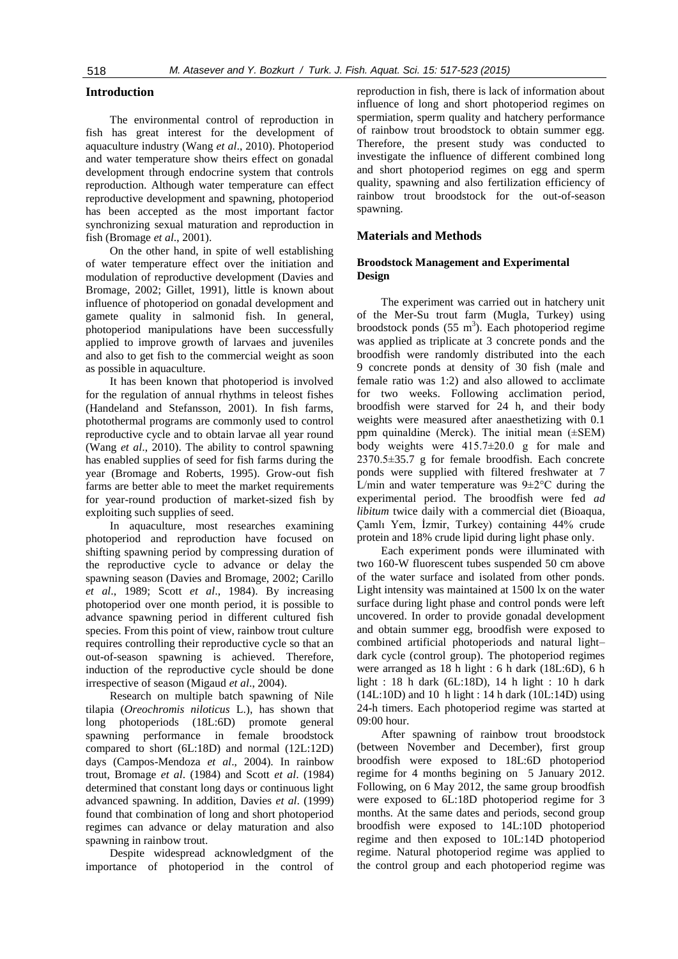# **Introduction**

The environmental control of reproduction in fish has great interest for the development of aquaculture industry (Wang *et al*., 2010). Photoperiod and water temperature show theirs effect on gonadal development through endocrine system that controls reproduction. Although water temperature can effect reproductive development and spawning, photoperiod has been accepted as the most important factor synchronizing sexual maturation and reproduction in fish (Bromage *et al*., 2001).

On the other hand, in spite of well establishing of water temperature effect over the initiation and modulation of reproductive development (Davies and Bromage, 2002; Gillet, 1991), little is known about influence of photoperiod on gonadal development and gamete quality in salmonid fish. In general, photoperiod manipulations have been successfully applied to improve growth of larvaes and juveniles and also to get fish to the commercial weight as soon as possible in aquaculture.

It has been known that photoperiod is involved for the regulation of annual rhythms in teleost fishes (Handeland and Stefansson, 2001). In fish farms, photothermal programs are commonly used to control reproductive cycle and to obtain larvae all year round (Wang *et al*., 2010). The ability to control spawning has enabled supplies of seed for fish farms during the year (Bromage and Roberts, 1995). Grow-out fish farms are better able to meet the market requirements for year-round production of market-sized fish by exploiting such supplies of seed.

In aquaculture, most researches examining photoperiod and reproduction have focused on shifting spawning period by compressing duration of the reproductive cycle to advance or delay the spawning season (Davies and Bromage, 2002; Carillo *et al*., 1989; Scott *et al*., 1984). By increasing photoperiod over one month period, it is possible to advance spawning period in different cultured fish species. From this point of view, rainbow trout culture requires controlling their reproductive cycle so that an out-of-season spawning is achieved. Therefore, induction of the reproductive cycle should be done irrespective of season (Migaud *et al*., 2004).

Research on multiple batch spawning of Nile tilapia (*Oreochromis niloticus* L.), has shown that long photoperiods (18L:6D) promote general spawning performance in female broodstock compared to short (6L:18D) and normal (12L:12D) days (Campos-Mendoza *et al*., 2004). In rainbow trout, Bromage *et al*. (1984) and Scott *et al*. (1984) determined that constant long days or continuous light advanced spawning. In addition, Davies *et al*. (1999) found that combination of long and short photoperiod regimes can advance or delay maturation and also spawning in rainbow trout.

Despite widespread acknowledgment of the importance of photoperiod in the control of

reproduction in fish, there is lack of information about influence of long and short photoperiod regimes on spermiation, sperm quality and hatchery performance of rainbow trout broodstock to obtain summer egg. Therefore, the present study was conducted to investigate the influence of different combined long and short photoperiod regimes on egg and sperm quality, spawning and also fertilization efficiency of rainbow trout broodstock for the out-of-season spawning.

### **Materials and Methods**

## **Broodstock Management and Experimental Design**

The experiment was carried out in hatchery unit of the Mer-Su trout farm (Mugla, Turkey) using broodstock ponds  $(55 \text{ m}^3)$ . Each photoperiod regime was applied as triplicate at 3 concrete ponds and the broodfish were randomly distributed into the each 9 concrete ponds at density of 30 fish (male and female ratio was 1:2) and also allowed to acclimate for two weeks. Following acclimation period, broodfish were starved for 24 h, and their body weights were measured after anaesthetizing with 0.1 ppm quinaldine (Merck). The initial mean (±SEM) body weights were 415.7±20.0 g for male and 2370.5±35.7 g for female broodfish. Each concrete ponds were supplied with filtered freshwater at 7 L/min and water temperature was  $9 \pm 2^{\circ}$ C during the experimental period. The broodfish were fed *ad libitum* twice daily with a commercial diet (Bioaqua, Çamlı Yem, İzmir, Turkey) containing 44% crude protein and 18% crude lipid during light phase only.

Each experiment ponds were illuminated with two 160-W fluorescent tubes suspended 50 cm above of the water surface and isolated from other ponds. Light intensity was maintained at 1500 lx on the water surface during light phase and control ponds were left uncovered. In order to provide gonadal development and obtain summer egg, broodfish were exposed to combined artificial photoperiods and natural light– dark cycle (control group). The photoperiod regimes were arranged as 18 h light : 6 h dark (18L:6D), 6 h light : 18 h dark (6L:18D), 14 h light : 10 h dark (14L:10D) and 10 h light : 14 h dark (10L:14D) using 24-h timers. Each photoperiod regime was started at 09:00 hour.

After spawning of rainbow trout broodstock (between November and December), first group broodfish were exposed to 18L:6D photoperiod regime for 4 months begining on 5 January 2012. Following, on 6 May 2012, the same group broodfish were exposed to 6L:18D photoperiod regime for 3 months. At the same dates and periods, second group broodfish were exposed to 14L:10D photoperiod regime and then exposed to 10L:14D photoperiod regime. Natural photoperiod regime was applied to the control group and each photoperiod regime was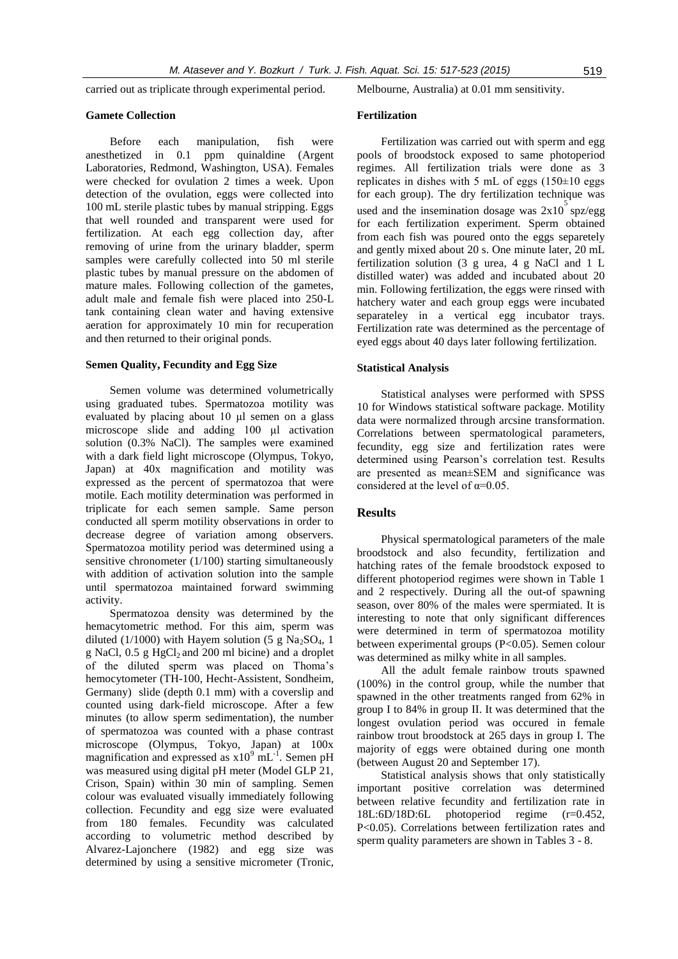carried out as triplicate through experimental period.

#### **Gamete Collection**

Before each manipulation, fish were anesthetized in 0.1 ppm quinaldine (Argent Laboratories, Redmond, Washington, USA). Females were checked for ovulation 2 times a week. Upon detection of the ovulation, eggs were collected into 100 mL sterile plastic tubes by manual stripping. Eggs that well rounded and transparent were used for fertilization. At each egg collection day, after removing of urine from the urinary bladder, sperm samples were carefully collected into 50 ml sterile plastic tubes by manual pressure on the abdomen of mature males. Following collection of the gametes, adult male and female fish were placed into 250-L tank containing clean water and having extensive aeration for approximately 10 min for recuperation and then returned to their original ponds.

#### **Semen Quality, Fecundity and Egg Size**

Semen volume was determined volumetrically using graduated tubes. Spermatozoa motility was evaluated by placing about 10 μl semen on a glass microscope slide and adding 100 μl activation solution (0.3% NaCl). The samples were examined with a dark field light microscope (Olympus, Tokyo, Japan) at 40x magnification and motility was expressed as the percent of spermatozoa that were motile. Each motility determination was performed in triplicate for each semen sample. Same person conducted all sperm motility observations in order to decrease degree of variation among observers. Spermatozoa motility period was determined using a sensitive chronometer (1/100) starting simultaneously with addition of activation solution into the sample until spermatozoa maintained forward swimming activity.

Spermatozoa density was determined by the hemacytometric method. For this aim, sperm was diluted (1/1000) with Hayem solution (5 g Na<sub>2</sub>SO<sub>4</sub>, 1 g NaCl,  $0.5$  g HgCl<sub>2</sub> and 200 ml bicine) and a droplet of the diluted sperm was placed on Thoma's hemocytometer (TH-100, Hecht-Assistent, Sondheim, Germany) slide (depth 0.1 mm) with a coverslip and counted using dark-field microscope. After a few minutes (to allow sperm sedimentation), the number of spermatozoa was counted with a phase contrast microscope (Olympus, Tokyo, Japan) at 100x magnification and expressed as  $x10^9$  mL<sup>-1</sup>. Semen pH was measured using digital pH meter (Model GLP 21, Crison, Spain) within 30 min of sampling. Semen colour was evaluated visually immediately following collection. Fecundity and egg size were evaluated from 180 females. Fecundity was calculated according to volumetric method described by Alvarez-Lajonchere (1982) and egg size was determined by using a sensitive micrometer (Tronic,

Melbourne, Australia) at 0.01 mm sensitivity.

#### **Fertilization**

Fertilization was carried out with sperm and egg pools of broodstock exposed to same photoperiod regimes. All fertilization trials were done as 3 replicates in dishes with 5 mL of eggs  $(150\pm10)$  eggs for each group). The dry fertilization technique was used and the insemination dosage was  $2x10^5$  spz/egg for each fertilization experiment. Sperm obtained from each fish was poured onto the eggs separetely and gently mixed about 20 s. One minute later, 20 mL fertilization solution (3 g urea, 4 g NaCl and 1 L distilled water) was added and incubated about 20 min. Following fertilization, the eggs were rinsed with hatchery water and each group eggs were incubated separateley in a vertical egg incubator trays. Fertilization rate was determined as the percentage of eyed eggs about 40 days later following fertilization.

# **Statistical Analysis**

Statistical analyses were performed with SPSS 10 for Windows statistical software package. Motility data were normalized through arcsine transformation. Correlations between spermatological parameters, fecundity, egg size and fertilization rates were determined using Pearson's correlation test. Results are presented as mean±SEM and significance was considered at the level of  $\alpha$ =0.05.

#### **Results**

Physical spermatological parameters of the male broodstock and also fecundity, fertilization and hatching rates of the female broodstock exposed to different photoperiod regimes were shown in Table 1 and 2 respectively. During all the out-of spawning season, over 80% of the males were spermiated. It is interesting to note that only significant differences were determined in term of spermatozoa motility between experimental groups (P<0.05). Semen colour was determined as milky white in all samples.

All the adult female rainbow trouts spawned (100%) in the control group, while the number that spawned in the other treatments ranged from 62% in group I to 84% in group II. It was determined that the longest ovulation period was occured in female rainbow trout broodstock at 265 days in group I. The majority of eggs were obtained during one month (between August 20 and September 17).

Statistical analysis shows that only statistically important positive correlation was determined between relative fecundity and fertilization rate in 18L:6D/18D:6L photoperiod regime (r=0.452, P<0.05). Correlations between fertilization rates and sperm quality parameters are shown in Tables 3 - 8.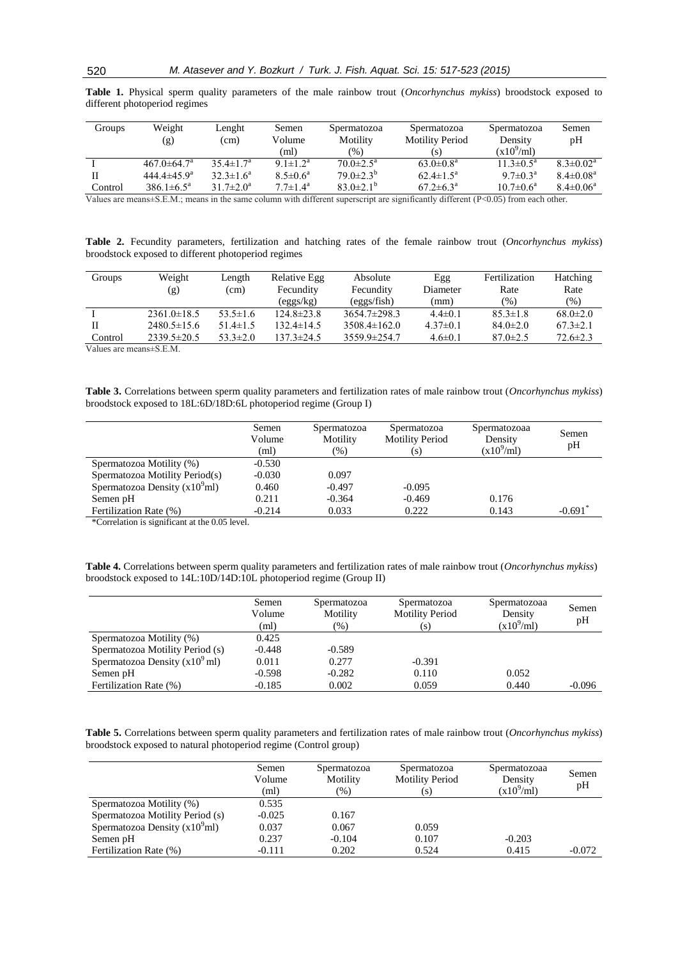| Groups  | Weight                   | Lenght                 | Semen                      | Spermatozoa               | Spermatozoa               | Spermatozoa               | Semen                       |
|---------|--------------------------|------------------------|----------------------------|---------------------------|---------------------------|---------------------------|-----------------------------|
|         | (g)                      | (cm)                   | Volume                     | Motility                  | <b>Motility Period</b>    | Density                   | pH                          |
|         |                          |                        | (ml)                       | (% )                      | (S)                       | $(x10^9\text{/ml})$       |                             |
|         | $467.0 \pm 64.7^{\circ}$ | $35.4 \pm 1.7^{\rm a}$ | 9.1 $\pm$ 1.2 <sup>a</sup> | $70.0 \pm 2.5^{\text{a}}$ | $63.0 \pm 0.8^{\text{a}}$ | $11.3 \pm 0.5^{\text{a}}$ | $8.3 \pm 0.02^a$            |
|         | $444.4 \pm 45.9^{\circ}$ | $32.3 \pm 1.6^a$       | $8.5 \pm 0.6^a$            | $79.0 \pm 2.3^b$          | $62.4 \pm 1.5^{\circ}$    | $9.7 \pm 0.3^{\text{a}}$  | $8.4 \pm 0.08$ <sup>a</sup> |
| Control | $386.1 \pm 6.5^{\circ}$  | $31.7 \pm 2.0^a$       | $7.7 \pm 1.4^{\rm a}$      | $83.0\pm2.1^{b}$          | $67.2 \pm 6.3^{\circ}$    | $10.7 \pm 0.6^{\circ}$    | $8.4 \pm 0.06^a$            |

**Table 1.** Physical sperm quality parameters of the male rainbow trout (*Oncorhynchus mykiss*) broodstock exposed to different photoperiod regimes

Values are means±S.E.M.; means in the same column with different superscript are significantly different (P<0.05) from each other.

**Table 2.** Fecundity parameters, fertilization and hatching rates of the female rainbow trout (*Oncorhynchus mykiss*) broodstock exposed to different photoperiod regimes

| Groups  | Weight<br>(g)     | Length<br>(cm) | Relative Egg<br>Fecundity | Absolute<br>Fecundity | Egg<br>Diameter | Fertilization<br>Rate | Hatching<br>Rate |
|---------|-------------------|----------------|---------------------------|-----------------------|-----------------|-----------------------|------------------|
|         |                   |                | (eggs/kg)                 | (eggs/fish)           | (mm)            | $(\%)$                | (% )             |
|         | $2361.0 \pm 18.5$ | $53.5 \pm 1.6$ | $124.8 \pm 23.8$          | $3654.7\pm298.3$      | $4.4 \pm 0.1$   | $85.3 \pm 1.8$        | $68.0 \pm 2.0$   |
|         | $2480.5 \pm 15.6$ | $51.4 \pm 1.5$ | $132.4 \pm 14.5$          | $3508.4 \pm 162.0$    | $4.37\pm0.1$    | $84.0 \pm 2.0$        | $67.3 \pm 2.1$   |
| Control | $2339.5 \pm 20.5$ | $53.3 \pm 2.0$ | 137.3±24.5                | 3559.9±254.7          | $4.6 \pm 0.1$   | $87.0 \pm 2.5$        | $72.6 \pm 2.3$   |

Values are means±S.E.M.

**Table 3.** Correlations between sperm quality parameters and fertilization rates of male rainbow trout (*Oncorhynchus mykiss*) broodstock exposed to 18L:6D/18D:6L photoperiod regime (Group I)

|                                | Semen<br>Volume | Spermatozoa<br>Motility | Spermatozoa<br><b>Motility Period</b> | Spermatozoaa<br>Density | Semen<br>pH           |
|--------------------------------|-----------------|-------------------------|---------------------------------------|-------------------------|-----------------------|
|                                | (ml)            | $(\% )$                 | (s)                                   | $(x10^9\text{/ml})$     |                       |
| Spermatozoa Motility (%)       | $-0.530$        |                         |                                       |                         |                       |
| Spermatozoa Motility Period(s) | $-0.030$        | 0.097                   |                                       |                         |                       |
| Spermatozoa Density $(x109ml)$ | 0.460           | $-0.497$                | $-0.095$                              |                         |                       |
| Semen pH                       | 0.211           | $-0.364$                | $-0.469$                              | 0.176                   |                       |
| Fertilization Rate (%)         | $-0.214$        | 0.033                   | 0.222                                 | 0.143                   | $-0.691$ <sup>*</sup> |

\*Correlation is significant at the 0.05 level.

**Table 4.** Correlations between sperm quality parameters and fertilization rates of male rainbow trout (*Oncorhynchus mykiss*) broodstock exposed to 14L:10D/14D:10L photoperiod regime (Group II)

|                                          | Semen<br>Volume<br>(ml) | Spermatozoa<br>Motility<br>$(\% )$ | Spermatozoa<br><b>Motility Period</b><br>(s) | Spermatozoaa<br>Density<br>$(x10^9\text{/ml})$ | Semen<br>pH |
|------------------------------------------|-------------------------|------------------------------------|----------------------------------------------|------------------------------------------------|-------------|
| Spermatozoa Motility (%)                 | 0.425                   |                                    |                                              |                                                |             |
| Spermatozoa Motility Period (s)          | $-0.448$                | $-0.589$                           |                                              |                                                |             |
| Spermatozoa Density $(x10^9 \text{ ml})$ | 0.011                   | 0.277                              | $-0.391$                                     |                                                |             |
| Semen pH                                 | $-0.598$                | $-0.282$                           | 0.110                                        | 0.052                                          |             |
| Fertilization Rate (%)                   | $-0.185$                | 0.002                              | 0.059                                        | 0.440                                          | $-0.096$    |

**Table 5.** Correlations between sperm quality parameters and fertilization rates of male rainbow trout (*Oncorhynchus mykiss*) broodstock exposed to natural photoperiod regime (Control group)

|                                 | Semen<br>Volume<br>(ml) | Spermatozoa<br>Motility<br>$(\%)$ | Spermatozoa<br><b>Motility Period</b><br>(s) | Spermatozoaa<br>Density<br>$(x10^9\text{/ml})$ | Semen<br>pH |
|---------------------------------|-------------------------|-----------------------------------|----------------------------------------------|------------------------------------------------|-------------|
| Spermatozoa Motility (%)        | 0.535                   |                                   |                                              |                                                |             |
| Spermatozoa Motility Period (s) | $-0.025$                | 0.167                             |                                              |                                                |             |
| Spermatozoa Density $(x109ml)$  | 0.037                   | 0.067                             | 0.059                                        |                                                |             |
| Semen pH                        | 0.237                   | $-0.104$                          | 0.107                                        | $-0.203$                                       |             |
| Fertilization Rate (%)          | -0.111                  | 0.202                             | 0.524                                        | 0.415                                          | $-0.072$    |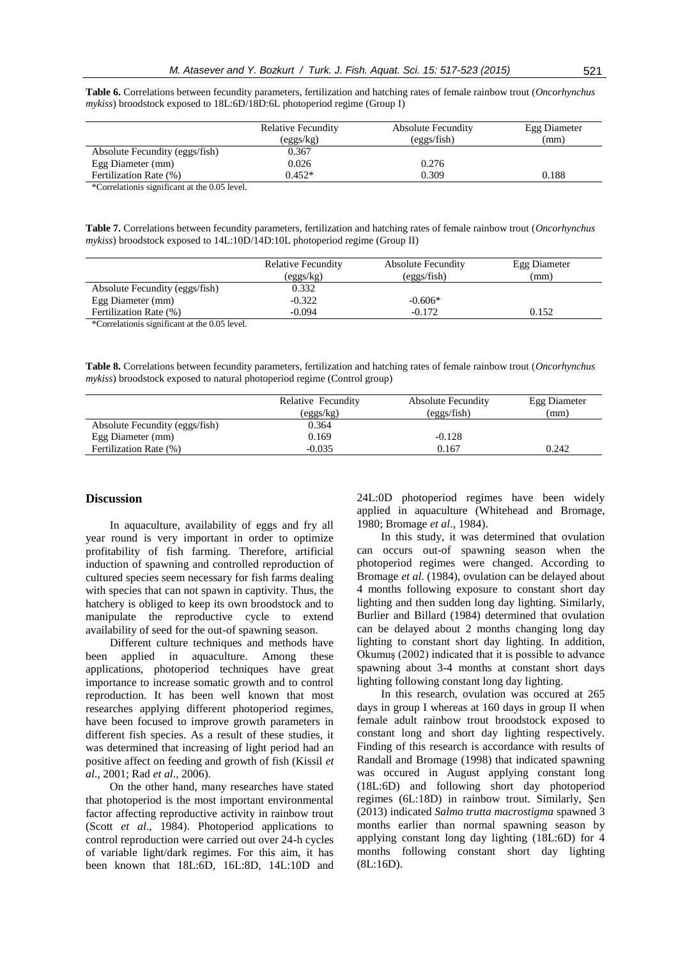**Table 6.** Correlations between fecundity parameters, fertilization and hatching rates of female rainbow trout (*Oncorhynchus mykiss*) broodstock exposed to 18L:6D/18D:6L photoperiod regime (Group I)

|                                              | <b>Relative Fecundity</b><br>(eggs/kg) | <b>Absolute Fecundity</b><br>(eggs/fish) | Egg Diameter<br>(mm) |
|----------------------------------------------|----------------------------------------|------------------------------------------|----------------------|
| Absolute Fecundity (eggs/fish)               | 0.367                                  |                                          |                      |
| Egg Diameter (mm)                            | 0.026                                  | 0.276                                    |                      |
| Fertilization Rate (%)                       | $0.452*$                               | 0.309                                    | 0.188                |
| *Correlationis significant at the 0.05 level |                                        |                                          |                      |

\*Correlationis significant at the 0.05 level.

**Table 7.** Correlations between fecundity parameters, fertilization and hatching rates of female rainbow trout (*Oncorhynchus mykiss*) broodstock exposed to 14L:10D/14D:10L photoperiod regime (Group II)

|                                | <b>Relative Fecundity</b> | <b>Absolute Fecundity</b> | Egg Diameter |
|--------------------------------|---------------------------|---------------------------|--------------|
|                                | (eggs/kg)                 | (eggs/fish)               | (mm)         |
| Absolute Fecundity (eggs/fish) | 0.332                     |                           |              |
| Egg Diameter (mm)              | $-0.322$                  | $-0.606*$                 |              |
| Fertilization Rate (%)         | $-0.094$                  | $-0.172$                  | 0.152        |
|                                |                           |                           |              |

\*Correlationis significant at the 0.05 level.

**Table 8.** Correlations between fecundity parameters, fertilization and hatching rates of female rainbow trout (*Oncorhynchus mykiss*) broodstock exposed to natural photoperiod regime (Control group)

|                                | Relative Fecundity<br>(eggs/kg) | <b>Absolute Fecundity</b><br>(eggs/fish) | Egg Diameter<br>(mm) |
|--------------------------------|---------------------------------|------------------------------------------|----------------------|
| Absolute Fecundity (eggs/fish) | 0.364                           |                                          |                      |
| Egg Diameter (mm)              | 0.169                           | $-0.128$                                 |                      |
| Fertilization Rate (%)         | $-0.035$                        | 0.167                                    | 0.242                |

#### **Discussion**

In aquaculture, availability of eggs and fry all year round is very important in order to optimize profitability of fish farming. Therefore, artificial induction of spawning and controlled reproduction of cultured species seem necessary for fish farms dealing with species that can not spawn in captivity. Thus, the hatchery is obliged to keep its own broodstock and to manipulate the reproductive cycle to extend availability of seed for the out-of spawning season.

Different culture techniques and methods have been applied in aquaculture. Among these applications, photoperiod techniques have great importance to increase somatic growth and to control reproduction. It has been well known that most researches applying different photoperiod regimes, have been focused to improve growth parameters in different fish species. As a result of these studies, it was determined that increasing of light period had an positive affect on feeding and growth of fish (Kissil *et al*., 2001; Rad *et al*., 2006).

On the other hand, many researches have stated that photoperiod is the most important environmental factor affecting reproductive activity in rainbow trout (Scott *et al*., 1984). Photoperiod applications to control reproduction were carried out over 24-h cycles of variable light/dark regimes. For this aim, it has been known that 18L:6D, 16L:8D, 14L:10D and 24L:0D photoperiod regimes have been widely applied in aquaculture (Whitehead and Bromage, 1980; Bromage *et al*., 1984).

In this study, it was determined that ovulation can occurs out-of spawning season when the photoperiod regimes were changed. According to Bromage *et al*. (1984), ovulation can be delayed about 4 months following exposure to constant short day lighting and then sudden long day lighting. Similarly, Burlier and Billard (1984) determined that ovulation can be delayed about 2 months changing long day lighting to constant short day lighting. In addition, Okumuş (2002) indicated that it is possible to advance spawning about 3-4 months at constant short days lighting following constant long day lighting.

In this research, ovulation was occured at 265 days in group I whereas at 160 days in group II when female adult rainbow trout broodstock exposed to constant long and short day lighting respectively. Finding of this research is accordance with results of Randall and Bromage (1998) that indicated spawning was occured in August applying constant long (18L:6D) and following short day photoperiod regimes (6L:18D) in rainbow trout. Similarly, Şen (2013) indicated *Salmo trutta macrostigma* spawned 3 months earlier than normal spawning season by applying constant long day lighting (18L:6D) for 4 months following constant short day lighting (8L:16D).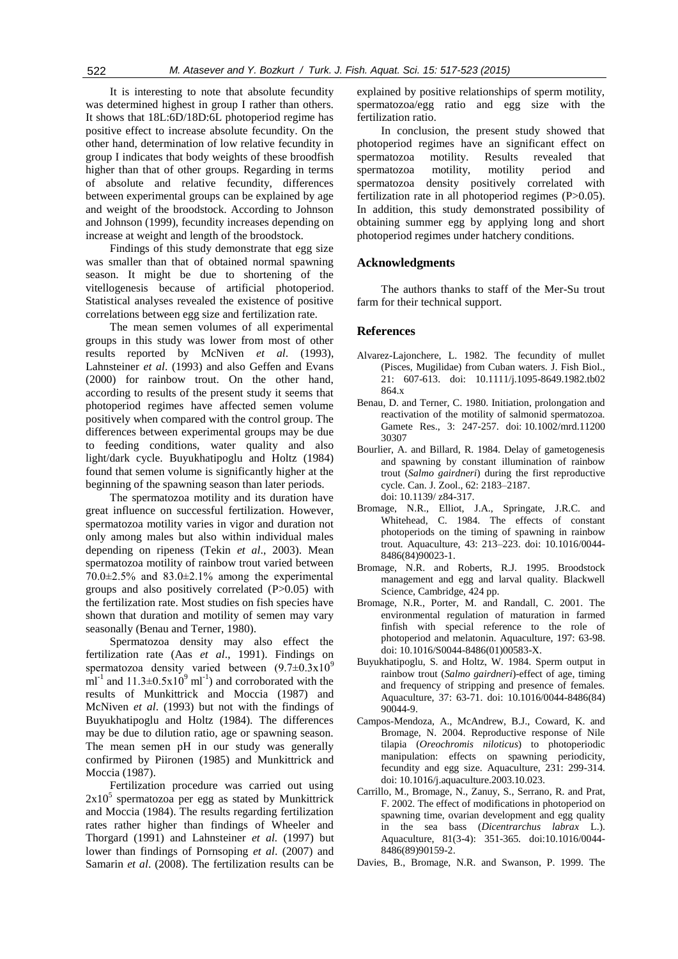It is interesting to note that absolute fecundity was determined highest in group I rather than others. It shows that 18L:6D/18D:6L photoperiod regime has positive effect to increase absolute fecundity. On the other hand, determination of low relative fecundity in group I indicates that body weights of these broodfish higher than that of other groups. Regarding in terms of absolute and relative fecundity, differences between experimental groups can be explained by age and weight of the broodstock. According to Johnson and Johnson (1999), fecundity increases depending on increase at weight and length of the broodstock.

Findings of this study demonstrate that egg size was smaller than that of obtained normal spawning season. It might be due to shortening of the vitellogenesis because of artificial photoperiod. Statistical analyses revealed the existence of positive correlations between egg size and fertilization rate.

The mean semen volumes of all experimental groups in this study was lower from most of other results reported by McNiven *et al*. (1993), Lahnsteiner *et al*. (1993) and also Geffen and Evans (2000) for rainbow trout. On the other hand, according to results of the present study it seems that photoperiod regimes have affected semen volume positively when compared with the control group. The differences between experimental groups may be due to feeding conditions, water quality and also light/dark cycle. Buyukhatipoglu and Holtz (1984) found that semen volume is significantly higher at the beginning of the spawning season than later periods.

The spermatozoa motility and its duration have great influence on successful fertilization. However, spermatozoa motility varies in vigor and duration not only among males but also within individual males depending on ripeness (Tekin *et al*., 2003). Mean spermatozoa motility of rainbow trout varied between  $70.0\pm2.5\%$  and  $83.0\pm2.1\%$  among the experimental groups and also positively correlated (P>0.05) with the fertilization rate. Most studies on fish species have shown that duration and motility of semen may vary seasonally (Benau and Terner, 1980).

Spermatozoa density may also effect the fertilization rate (Aas *et al*., 1991). Findings on spermatozoa density varied between  $(9.7\pm0.3x10^9)$ ml<sup>-1</sup> and  $11.3\pm0.5x10^9$  ml<sup>-1</sup>) and corroborated with the results of Munkittrick and Moccia (1987) and McNiven *et al*. (1993) but not with the findings of Buyukhatipoglu and Holtz (1984). The differences may be due to dilution ratio, age or spawning season. The mean semen pH in our study was generally confirmed by Piironen (1985) and Munkittrick and Moccia (1987).

Fertilization procedure was carried out using  $2x10<sup>5</sup>$  spermatozoa per egg as stated by Munkittrick and Moccia (1984). The results regarding fertilization rates rather higher than findings of Wheeler and Thorgard (1991) and Lahnsteiner *et al.* (1997) but lower than findings of Pornsoping *et al*. (2007) and Samarin *et al*. (2008). The fertilization results can be

explained by positive relationships of sperm motility, spermatozoa/egg ratio and egg size with the fertilization ratio.

In conclusion, the present study showed that photoperiod regimes have an significant effect on spermatozoa motility. Results revealed that spermatozoa motility, motility period and spermatozoa density positively correlated with fertilization rate in all photoperiod regimes (P>0.05). In addition, this study demonstrated possibility of obtaining summer egg by applying long and short photoperiod regimes under hatchery conditions.

# **Acknowledgments**

The authors thanks to staff of the Mer-Su trout farm for their technical support.

# **References**

- Alvarez-Lajonchere, L. 1982. The fecundity of mullet (Pisces, Mugilidae) from Cuban waters. J. Fish Biol., 21: 607-613. doi: 10.1111/j.1095-8649.1982.tb02 864.x
- Benau, D. and Terner, C. 1980. Initiation, prolongation and reactivation of the motility of salmonid spermatozoa. Gamete Res., 3: 247-257. doi: 10.1002/mrd.11200 30307
- Bourlier, A. and Billard, R. 1984. Delay of gametogenesis and spawning by constant illumination of rainbow trout (*Salmo gairdneri*) during the first reproductive cycle. Can. J. Zool., 62: 2183–2187. doi: 10.1139/ z84-317.
- Bromage, N.R., Elliot, J.A., Springate, J.R.C. and Whitehead, C. 1984. The effects of constant photoperiods on the timing of spawning in rainbow trout. Aquaculture, 43: 213–223. doi: 10.1016/0044- 8486(84)90023-1.
- Bromage, N.R. and Roberts, R.J. 1995. Broodstock management and egg and larval quality. Blackwell Science, Cambridge, 424 pp.
- Bromage, N.R., Porter, M. and Randall, C. 2001. The environmental regulation of maturation in farmed finfish with special reference to the role of photoperiod and melatonin. Aquaculture, 197: 63-98. doi: 10.1016/S0044-8486(01)00583-X.
- Buyukhatipoglu, S. and Holtz, W. 1984. Sperm output in rainbow trout (*Salmo gairdneri*)*-*effect of age, timing and frequency of stripping and presence of females. Aquaculture, 37: 63-71. doi: 10.1016/0044-8486(84) 90044-9.
- Campos-Mendoza, A., McAndrew, B.J., Coward, K. and Bromage, N. 2004. Reproductive response of Nile tilapia (*Oreochromis niloticus*) to photoperiodic manipulation: effects on spawning periodicity, fecundity and egg size. Aquaculture, 231: 299-314. doi: 10.1016/j.aquaculture.2003.10.023.
- [Carrillo,](http://www.sciencedirect.com/science/article/pii/0044848689901592) M., [Bromage,](http://www.sciencedirect.com/science/article/pii/0044848689901592) N., [Zanuy,](http://www.sciencedirect.com/science/article/pii/0044848689901592) S., [Serrano,](http://www.sciencedirect.com/science/article/pii/0044848689901592) R. and [Prat,](http://www.sciencedirect.com/science/article/pii/0044848689901592) F. 2002. The effect of modifications in photoperiod on spawning time, ovarian development and egg quality in the sea bass (*Dicentrarchus labrax* L.). Aquaculture, 81(3-4): 351-365. [doi:10.1016/0044-](http://dx.doi.org/10.1016/0044-8486(89)90159-2) [8486\(89\)90159-2.](http://dx.doi.org/10.1016/0044-8486(89)90159-2)
- Davies, B., Bromage, N.R. and Swanson, P. 1999. The